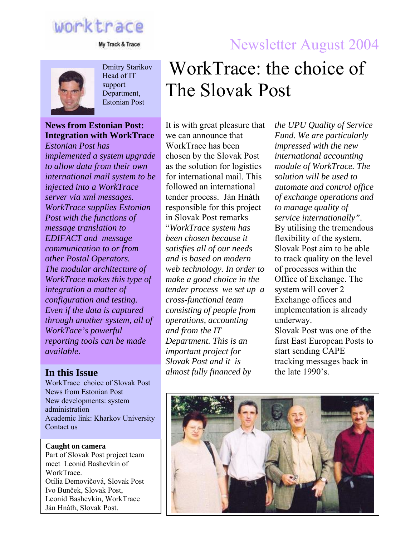# worktrace

My Track & Trace

## Newsletter August 2004



Dmitry Starikov Head of IT support Department, Estonian Post

#### **News from Estonian Post: Integration with WorkTrace**

*Estonian Post has implemented a system upgrade to allow data from their own international mail system to be injected into a WorkTrace server via xml messages. WorkTrace supplies Estonian Post with the functions of message translation to EDIFACT and message communication to or from other Postal Operators. The modular architecture of WorkTrace makes this type of integration a matter of configuration and testing. Even if the data is captured through another system, all of WorkTace's powerful reporting tools can be made available.* 

WorkTrace choice of Slovak Post News from Estonian Post New developments: system administration Academic link: Kharkov University Contact us

**Caught on camera**  Part of Slovak Post project team meet Leonid Bashevkin of WorkTrace. Otília Demovičová, Slovak Post Ivo Bunček, Slovak Post, Leonid Bashevkin, WorkTrace Ján Hnáth, Slovak Post.

# WorkTrace: the choice of The Slovak Post

It is with great pleasure that we can announce that WorkTrace has been chosen by the Slovak Post as the solution for logistics for international mail. This followed an international tender process. Ján Hnáth responsible for this project in Slovak Post remarks "*WorkTrace system has been chosen because it satisfies all of our needs and is based on modern web technology. In order to make a good choice in the tender process we set up a cross-functional team consisting of people from operations, accounting and from the IT Department. This is an important project for Slovak Post and it is*  **In this Issue** *almost fully financed by* **the late 1990's.** 

*the UPU Quality of Service Fund. We are particularly impressed with the new international accounting module of WorkTrace. The solution will be used to automate and control office of exchange operations and to manage quality of service internationally".*  By utilising the tremendous flexibility of the system, Slovak Post aim to be able to track quality on the level of processes within the Office of Exchange. The system will cover 2 Exchange offices and implementation is already underway. Slovak Post was one of the

first East European Posts to start sending CAPE tracking messages back in